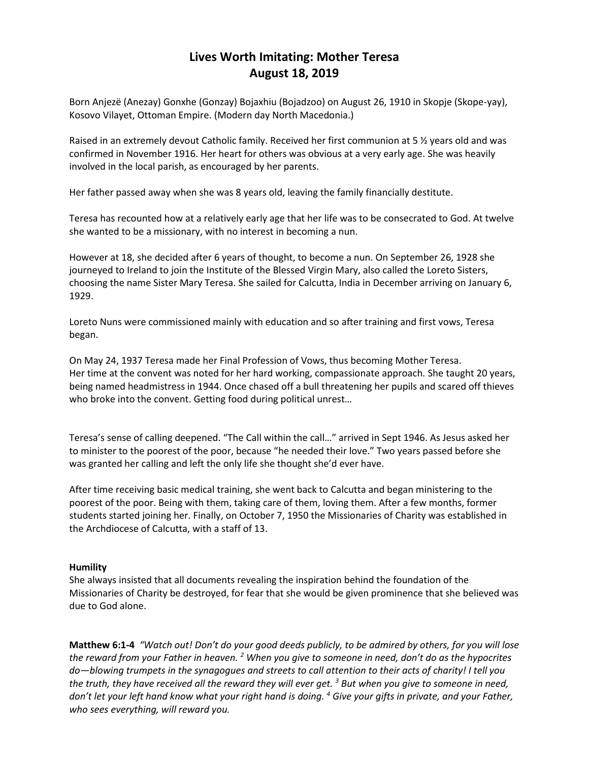# **Lives Worth Imitating: Mother Teresa August 18, 2019**

Born Anjezë (Anezay) Gonxhe (Gonzay) Bojaxhiu (Bojadzoo) on August 26, 1910 in Skopje (Skope-yay), Kosovo Vilayet, Ottoman Empire. (Modern day North Macedonia.)

Raised in an extremely devout Catholic family. Received her first communion at 5 % years old and was confirmed in November 1916. Her heart for others was obvious at a very early age. She was heavily involved in the local parish, as encouraged by her parents.

Her father passed away when she was 8 years old, leaving the family financially destitute.

Teresa has recounted how at a relatively early age that her life was to be consecrated to God. At twelve she wanted to be a missionary, with no interest in becoming a nun.

However at 18, she decided after 6 years of thought, to become a nun. On September 26, 1928 she journeyed to Ireland to join the Institute of the Blessed Virgin Mary, also called the Loreto Sisters, choosing the name Sister Mary Teresa. She sailed for Calcutta, India in December arriving on January 6, 1929.

Loreto Nuns were commissioned mainly with education and so after training and first vows, Teresa began.

On May 24, 1937 Teresa made her Final Profession of Vows, thus becoming Mother Teresa. Her time at the convent was noted for her hard working, compassionate approach. She taught 20 years, being named headmistress in 1944. Once chased off a bull threatening her pupils and scared off thieves who broke into the convent. Getting food during political unrest…

Teresa's sense of calling deepened. "The Call within the call…" arrived in Sept 1946. As Jesus asked her to minister to the poorest of the poor, because "he needed their love." Two years passed before she was granted her calling and left the only life she thought she'd ever have.

After time receiving basic medical training, she went back to Calcutta and began ministering to the poorest of the poor. Being with them, taking care of them, loving them. After a few months, former students started joining her. Finally, on October 7, 1950 the Missionaries of Charity was established in the Archdiocese of Calcutta, with a staff of 13.

# **Humility**

She always insisted that all documents revealing the inspiration behind the foundation of the Missionaries of Charity be destroyed, for fear that she would be given prominence that she believed was due to God alone.

**Matthew 6:1-4** *"Watch out! Don't do your good deeds publicly, to be admired by others, for you will lose the reward from your Father in heaven. <sup>2</sup> When you give to someone in need, don't do as the hypocrites do—blowing trumpets in the synagogues and streets to call attention to their acts of charity! I tell you the truth, they have received all the reward they will ever get. <sup>3</sup> But when you give to someone in need, don't let your left hand know what your right hand is doing. <sup>4</sup> Give your gifts in private, and your Father, who sees everything, will reward you.*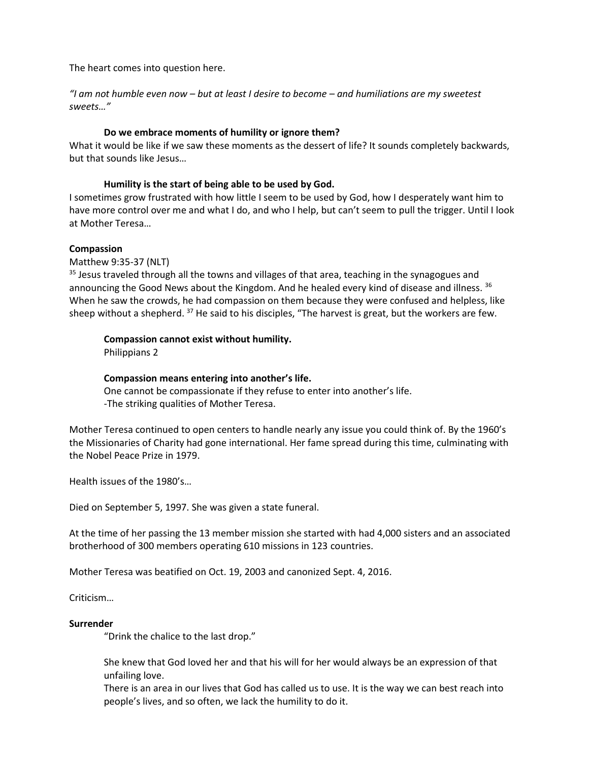The heart comes into question here.

*"I am not humble even now – but at least I desire to become – and humiliations are my sweetest sweets…"*

## **Do we embrace moments of humility or ignore them?**

What it would be like if we saw these moments as the dessert of life? It sounds completely backwards, but that sounds like Jesus…

## **Humility is the start of being able to be used by God.**

I sometimes grow frustrated with how little I seem to be used by God, how I desperately want him to have more control over me and what I do, and who I help, but can't seem to pull the trigger. Until I look at Mother Teresa…

## **Compassion**

Matthew 9:35-37 (NLT)

<sup>35</sup> Jesus traveled through all the towns and villages of that area, teaching in the synagogues and announcing the Good News about the Kingdom. And he healed every kind of disease and illness. <sup>36</sup> When he saw the crowds, he had compassion on them because they were confused and helpless, like sheep without a shepherd.  $37$  He said to his disciples, "The harvest is great, but the workers are few.

## **Compassion cannot exist without humility.**

Philippians 2

## **Compassion means entering into another's life.**

One cannot be compassionate if they refuse to enter into another's life. -The striking qualities of Mother Teresa.

Mother Teresa continued to open centers to handle nearly any issue you could think of. By the 1960's the Missionaries of Charity had gone international. Her fame spread during this time, culminating with the Nobel Peace Prize in 1979.

Health issues of the 1980's…

Died on September 5, 1997. She was given a state funeral.

At the time of her passing the 13 member mission she started with had 4,000 sisters and an associated brotherhood of 300 members operating 610 missions in 123 countries.

Mother Teresa was beatified on Oct. 19, 2003 and canonized Sept. 4, 2016.

Criticism…

#### **Surrender**

"Drink the chalice to the last drop."

She knew that God loved her and that his will for her would always be an expression of that unfailing love.

There is an area in our lives that God has called us to use. It is the way we can best reach into people's lives, and so often, we lack the humility to do it.